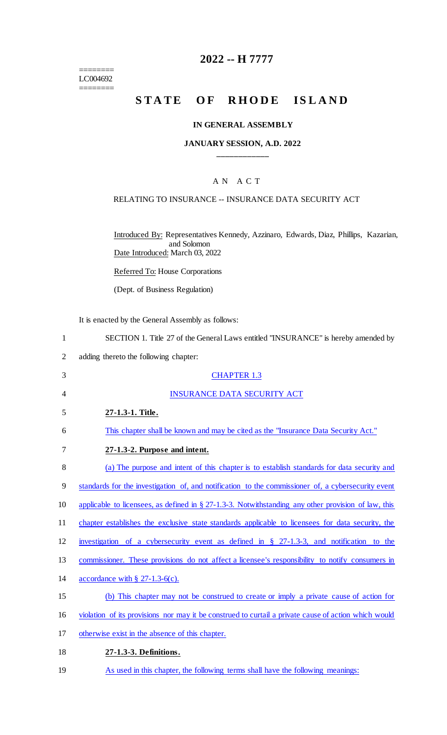$=$ LC004692 ========

## **2022 -- H 7777**

# **STATE OF RHODE ISLAND**

### **IN GENERAL ASSEMBLY**

#### **JANUARY SESSION, A.D. 2022 \_\_\_\_\_\_\_\_\_\_\_\_**

### A N A C T

#### RELATING TO INSURANCE -- INSURANCE DATA SECURITY ACT

Introduced By: Representatives Kennedy, Azzinaro, Edwards, Diaz, Phillips, Kazarian, and Solomon Date Introduced: March 03, 2022

Referred To: House Corporations

(Dept. of Business Regulation)

It is enacted by the General Assembly as follows:

| SECTION 1. Title 27 of the General Laws entitled "INSURANCE" is hereby amended by |  |
|-----------------------------------------------------------------------------------|--|
|                                                                                   |  |

2 adding thereto the following chapter:

| 3     | <b>CHAPTER 1.3</b>                                                                                      |
|-------|---------------------------------------------------------------------------------------------------------|
| 4     | <b>INSURANCE DATA SECURITY ACT</b>                                                                      |
| 5     | 27-1.3-1. Title.                                                                                        |
| 6     | This chapter shall be known and may be cited as the "Insurance Data Security Act."                      |
| 7     | 27-1.3-2. Purpose and intent.                                                                           |
| $8\,$ | (a) The purpose and intent of this chapter is to establish standards for data security and              |
| 9     | standards for the investigation of, and notification to the commissioner of, a cybersecurity event      |
| 10    | applicable to licensees, as defined in $\S 27-1.3-3$ . Notwithstanding any other provision of law, this |
| 11    | chapter establishes the exclusive state standards applicable to licensees for data security, the        |
| 12    | investigation of a cybersecurity event as defined in $\S$ 27-1.3-3, and notification to the             |
| 13    | commissioner. These provisions do not affect a licensee's responsibility to notify consumers in         |
| 14    | accordance with $\S$ 27-1.3-6(c).                                                                       |
| 15    | (b) This chapter may not be construed to create or imply a private cause of action for                  |
| 16    | violation of its provisions nor may it be construed to curtail a private cause of action which would    |
| 17    | otherwise exist in the absence of this chapter.                                                         |
| 18    | 27-1.3-3. Definitions.                                                                                  |

19 As used in this chapter, the following terms shall have the following meanings: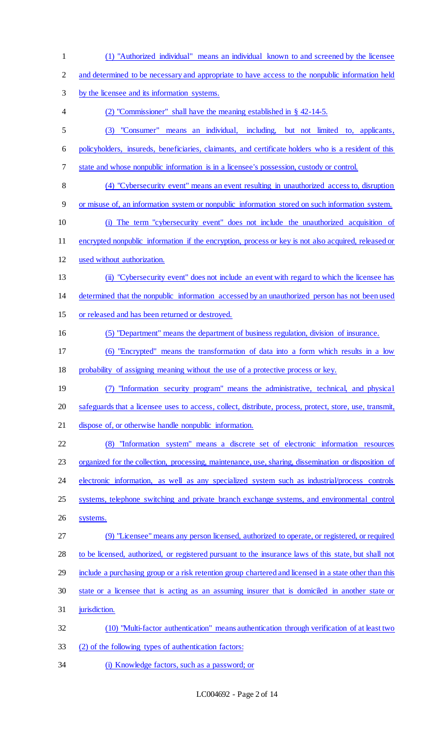(1) "Authorized individual" means an individual known to and screened by the licensee and determined to be necessary and appropriate to have access to the nonpublic information held by the licensee and its information systems. (2) "Commissioner" shall have the meaning established in § 42-14-5. (3) "Consumer" means an individual, including, but not limited to, applicants, policyholders, insureds, beneficiaries, claimants, and certificate holders who is a resident of this state and whose nonpublic information is in a licensee's possession, custody or control. (4) "Cybersecurity event" means an event resulting in unauthorized access to, disruption or misuse of, an information system or nonpublic information stored on such information system. (i) The term "cybersecurity event" does not include the unauthorized acquisition of encrypted nonpublic information if the encryption, process or key is not also acquired, released or used without authorization. (ii) "Cybersecurity event" does not include an event with regard to which the licensee has determined that the nonpublic information accessed by an unauthorized person has not been used or released and has been returned or destroyed. (5) "Department" means the department of business regulation, division of insurance. (6) "Encrypted" means the transformation of data into a form which results in a low probability of assigning meaning without the use of a protective process or key. (7) "Information security program" means the administrative, technical, and physical safeguards that a licensee uses to access, collect, distribute, process, protect, store, use, transmit, dispose of, or otherwise handle nonpublic information. (8) "Information system" means a discrete set of electronic information resources organized for the collection, processing, maintenance, use, sharing, dissemination or disposition of 24 electronic information, as well as any specialized system such as industrial/process controls systems, telephone switching and private branch exchange systems, and environmental control systems. (9) "Licensee" means any person licensed, authorized to operate, or registered, or required to be licensed, authorized, or registered pursuant to the insurance laws of this state, but shall not include a purchasing group or a risk retention group chartered and licensed in a state other than this state or a licensee that is acting as an assuming insurer that is domiciled in another state or 31 jurisdiction. (10) "Multi-factor authentication" means authentication through verification of at least two (2) of the following types of authentication factors: (i) Knowledge factors, such as a password; or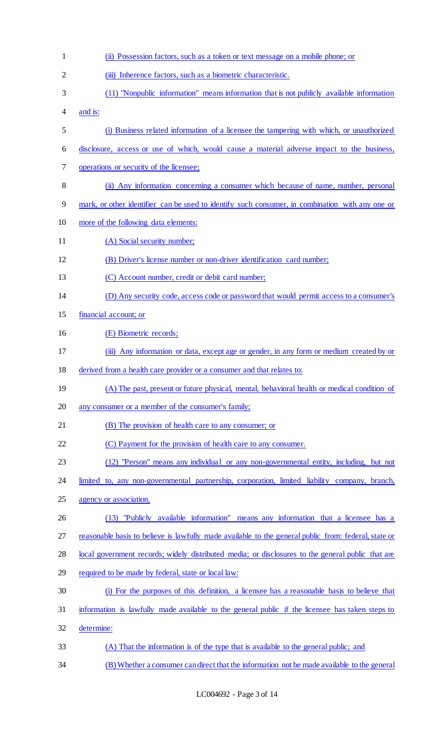| $\mathbf{1}$   | (ii) Possession factors, such as a token or text message on a mobile phone; or                       |
|----------------|------------------------------------------------------------------------------------------------------|
| $\overline{2}$ | (iii) Inherence factors, such as a biometric characteristic.                                         |
| 3              | (11) "Nonpublic information" means information that is not publicly available information            |
| 4              | and is:                                                                                              |
| 5              | (i) Business related information of a licensee the tampering with which, or unauthorized             |
| 6              | disclosure, access or use of which, would cause a material adverse impact to the business,           |
| 7              | operations or security of the licensee;                                                              |
| 8              | (ii) Any information concerning a consumer which because of name, number, personal                   |
| 9              | mark, or other identifier can be used to identify such consumer, in combination with any one or      |
| 10             | more of the following data elements:                                                                 |
| 11             | (A) Social security number;                                                                          |
| 12             | (B) Driver's license number or non-driver identification card number;                                |
| 13             | (C) Account number, credit or debit card number;                                                     |
| 14             | (D) Any security code, access code or password that would permit access to a consumer's              |
| 15             | financial account; or                                                                                |
| 16             | (E) Biometric records;                                                                               |
| 17             | (iii) Any information or data, except age or gender, in any form or medium created by or             |
| 18             | derived from a health care provider or a consumer and that relates to:                               |
| 19             | (A) The past, present or future physical, mental, behavioral health or medical condition of          |
| 20             | any consumer or a member of the consumer's family;                                                   |
| 21             | (B) The provision of health care to any consumer; or                                                 |
| 22             | (C) Payment for the provision of health care to any consumer.                                        |
| 23             | (12) "Person" means any individual or any non-governmental entity, including, but not                |
| 24             | limited to, any non-governmental partnership, corporation, limited liability company, branch,        |
| 25             | agency or association.                                                                               |
| 26             | (13) "Publicly available information" means any information that a licensee has a                    |
| 27             | reasonable basis to believe is lawfully made available to the general public from: federal, state or |
| 28             | local government records; widely distributed media; or disclosures to the general public that are    |
| 29             | required to be made by federal, state or local law:                                                  |
| 30             | (i) For the purposes of this definition, a licensee has a reasonable basis to believe that           |
| 31             | information is lawfully made available to the general public if the licensee has taken steps to      |
| 32             | determine:                                                                                           |
| 33             | (A) That the information is of the type that is available to the general public; and                 |
|                |                                                                                                      |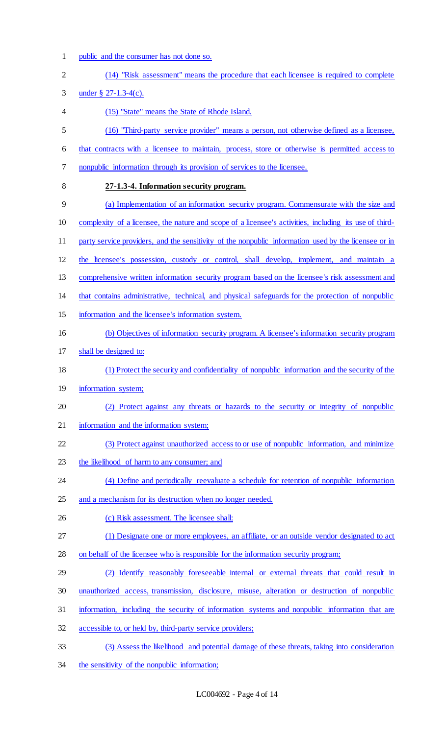1 public and the consumer has not done so.

| $\overline{2}$ | (14) "Risk assessment" means the procedure that each licensee is required to complete                  |
|----------------|--------------------------------------------------------------------------------------------------------|
| 3              | under § $27-1.3-4(c)$ .                                                                                |
| 4              | (15) "State" means the State of Rhode Island.                                                          |
| 5              | (16) "Third-party service provider" means a person, not otherwise defined as a licensee,               |
| 6              | that contracts with a licensee to maintain, process, store or otherwise is permitted access to         |
| 7              | nonpublic information through its provision of services to the licensee.                               |
| 8              | 27-1.3-4. Information security program.                                                                |
| 9              | (a) Implementation of an information security program. Commensurate with the size and                  |
| 10             | complexity of a licensee, the nature and scope of a licensee's activities, including its use of third- |
| 11             | party service providers, and the sensitivity of the nonpublic information used by the licensee or in   |
| 12             | the licensee's possession, custody or control, shall develop, implement, and maintain a                |
| 13             | comprehensive written information security program based on the licensee's risk assessment and         |
| 14             | that contains administrative, technical, and physical safeguards for the protection of nonpublic       |
| 15             | information and the licensee's information system.                                                     |
| 16             | (b) Objectives of information security program. A licensee's information security program              |
| 17             | shall be designed to:                                                                                  |
| 18             | (1) Protect the security and confidentiality of nonpublic information and the security of the          |
| 19             | information system;                                                                                    |
| 20             | (2) Protect against any threats or hazards to the security or integrity of nonpublic                   |
| 21             | information and the information system;                                                                |
| 22             | (3) Protect against unauthorized access to or use of nonpublic information, and minimize               |
| 23             | the likelihood of harm to any consumer; and                                                            |
| 24             | (4) Define and periodically reevaluate a schedule for retention of nonpublic information               |
| 25             | and a mechanism for its destruction when no longer needed.                                             |
| 26             | (c) Risk assessment. The licensee shall:                                                               |
| 27             | (1) Designate one or more employees, an affiliate, or an outside vendor designated to act              |
| 28             | on behalf of the licensee who is responsible for the information security program;                     |
| 29             | (2) Identify reasonably foreseeable internal or external threats that could result in                  |
| 30             | unauthorized access, transmission, disclosure, misuse, alteration or destruction of nonpublic          |
| 31             | information, including the security of information systems and nonpublic information that are          |
| 32             | accessible to, or held by, third-party service providers;                                              |
| 33             | (3) Assess the likelihood and potential damage of these threats, taking into consideration             |
|                |                                                                                                        |

34 the sensitivity of the nonpublic information;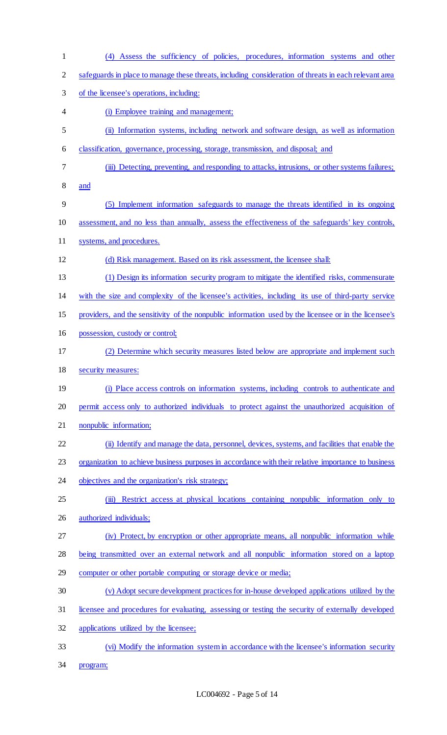- (4) Assess the sufficiency of policies, procedures, information systems and other safeguards in place to manage these threats, including consideration of threats in each relevant area of the licensee's operations, including: (i) Employee training and management; (ii) Information systems, including network and software design, as well as information classification, governance, processing, storage, transmission, and disposal; and (iii) Detecting, preventing, and responding to attacks, intrusions, or other systems failures; and (5) Implement information safeguards to manage the threats identified in its ongoing assessment, and no less than annually, assess the effectiveness of the safeguards' key controls, systems, and procedures. (d) Risk management. Based on its risk assessment, the licensee shall: (1) Design its information security program to mitigate the identified risks, commensurate with the size and complexity of the licensee's activities, including its use of third-party service providers, and the sensitivity of the nonpublic information used by the licensee or in the licensee's possession, custody or control; (2) Determine which security measures listed below are appropriate and implement such security measures: (i) Place access controls on information systems, including controls to authenticate and permit access only to authorized individuals to protect against the unauthorized acquisition of nonpublic information; (ii) Identify and manage the data, personnel, devices, systems, and facilities that enable the 23 organization to achieve business purposes in accordance with their relative importance to business 24 objectives and the organization's risk strategy; (iii) Restrict access at physical locations containing nonpublic information only to authorized individuals; (iv) Protect, by encryption or other appropriate means, all nonpublic information while being transmitted over an external network and all nonpublic information stored on a laptop computer or other portable computing or storage device or media; (v) Adopt secure development practices for in-house developed applications utilized by the licensee and procedures for evaluating, assessing or testing the security of externally developed applications utilized by the licensee; (vi) Modify the information system in accordance with the licensee's information security
- program;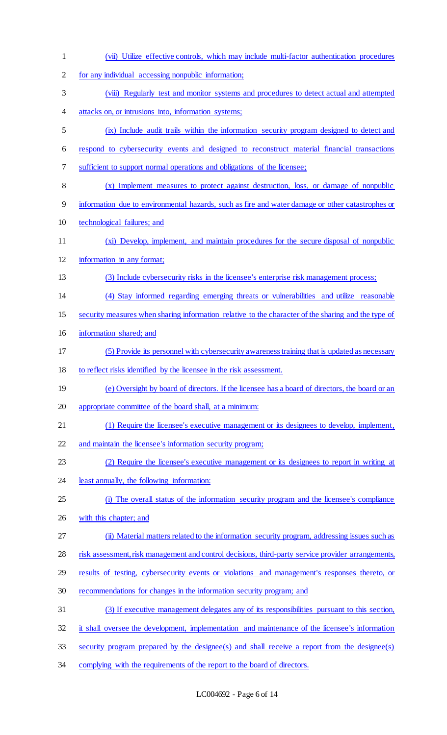| $\mathbf{1}$   | (vii) Utilize effective controls, which may include multi-factor authentication procedures          |
|----------------|-----------------------------------------------------------------------------------------------------|
| $\overline{2}$ | for any individual accessing nonpublic information;                                                 |
| 3              | (viii) Regularly test and monitor systems and procedures to detect actual and attempted             |
| 4              | attacks on, or intrusions into, information systems;                                                |
| 5              | (ix) Include audit trails within the information security program designed to detect and            |
| 6              | respond to cybersecurity events and designed to reconstruct material financial transactions         |
| 7              | sufficient to support normal operations and obligations of the licensee;                            |
| 8              | (x) Implement measures to protect against destruction, loss, or damage of nonpublic                 |
| 9              | information due to environmental hazards, such as fire and water damage or other catastrophes or    |
| 10             | technological failures; and                                                                         |
| 11             | (xi) Develop, implement, and maintain procedures for the secure disposal of nonpublic               |
| 12             | information in any format;                                                                          |
| 13             | (3) Include cybersecurity risks in the licensee's enterprise risk management process;               |
| 14             | (4) Stay informed regarding emerging threats or vulnerabilities and utilize reasonable              |
| 15             | security measures when sharing information relative to the character of the sharing and the type of |
| 16             | information shared; and                                                                             |
| 17             | (5) Provide its personnel with cybersecurity awareness training that is updated as necessary        |
| 18             | to reflect risks identified by the licensee in the risk assessment.                                 |
| 19             | (e) Oversight by board of directors. If the licensee has a board of directors, the board or an      |
| 20             | appropriate committee of the board shall, at a minimum:                                             |
| 21             | (1) Require the licensee's executive management or its designees to develop, implement,             |
| 22             | and maintain the licensee's information security program;                                           |
| 23             | (2) Require the licensee's executive management or its designees to report in writing at            |
| 24             | least annually, the following information:                                                          |
| 25             | (i) The overall status of the information security program and the licensee's compliance            |
| 26             | with this chapter; and                                                                              |
| 27             | (ii) Material matters related to the information security program, addressing issues such as        |
| 28             | risk assessment, risk management and control decisions, third-party service provider arrangements,  |
| 29             | results of testing, cybersecurity events or violations and management's responses thereto, or       |
| 30             | recommendations for changes in the information security program; and                                |
| 31             | (3) If executive management delegates any of its responsibilities pursuant to this section,         |
| 32             | it shall oversee the development, implementation and maintenance of the licensee's information      |
| 33             | security program prepared by the designee(s) and shall receive a report from the designee(s)        |
| 34             | complying with the requirements of the report to the board of directors.                            |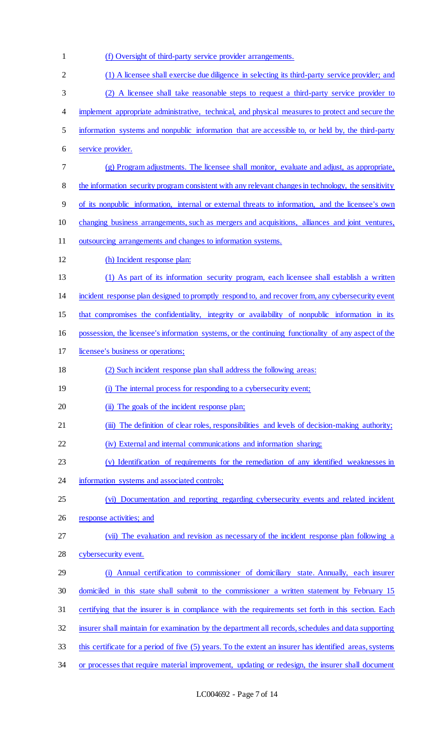(f) Oversight of third-party service provider arrangements. (1) A licensee shall exercise due diligence in selecting its third-party service provider; and (2) A licensee shall take reasonable steps to request a third-party service provider to implement appropriate administrative, technical, and physical measures to protect and secure the information systems and nonpublic information that are accessible to, or held by, the third-party service provider. (g) Program adjustments. The licensee shall monitor, evaluate and adjust, as appropriate, the information security program consistent with any relevant changes in technology, the sensitivity of its nonpublic information, internal or external threats to information, and the licensee's own 10 changing business arrangements, such as mergers and acquisitions, alliances and joint ventures, outsourcing arrangements and changes to information systems. (h) Incident response plan: (1) As part of its information security program, each licensee shall establish a written incident response plan designed to promptly respond to, and recover from, any cybersecurity event that compromises the confidentiality, integrity or availability of nonpublic information in its possession, the licensee's information systems, or the continuing functionality of any aspect of the licensee's business or operations; (2) Such incident response plan shall address the following areas: (i) The internal process for responding to a cybersecurity event; 20 (ii) The goals of the incident response plan; 21 (iii) The definition of clear roles, responsibilities and levels of decision-making authority; (iv) External and internal communications and information sharing; (v) Identification of requirements for the remediation of any identified weaknesses in 24 information systems and associated controls; (vi) Documentation and reporting regarding cybersecurity events and related incident response activities; and (vii) The evaluation and revision as necessary of the incident response plan following a cybersecurity event. (i) Annual certification to commissioner of domiciliary state. Annually, each insurer domiciled in this state shall submit to the commissioner a written statement by February 15 certifying that the insurer is in compliance with the requirements set forth in this section. Each insurer shall maintain for examination by the department all records, schedules and data supporting this certificate for a period of five (5) years. To the extent an insurer has identified areas, systems or processes that require material improvement, updating or redesign, the insurer shall document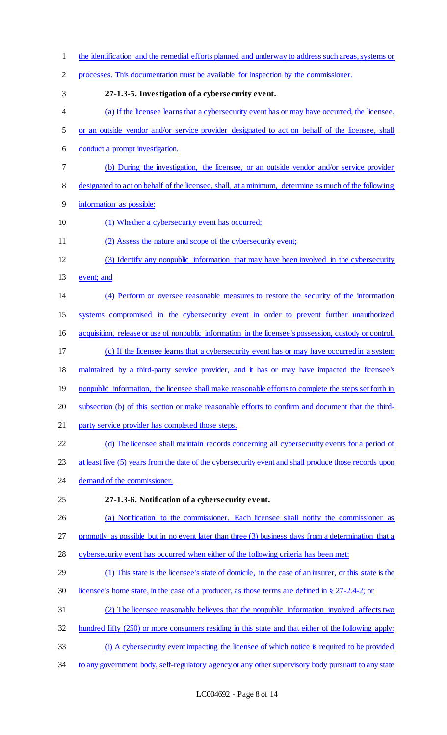the identification and the remedial efforts planned and underway to address such areas, systems or processes. This documentation must be available for inspection by the commissioner. **27-1.3-5. Investigation of a cybersecurity event.**  (a) If the licensee learns that a cybersecurity event has or may have occurred, the licensee, or an outside vendor and/or service provider designated to act on behalf of the licensee, shall conduct a prompt investigation. (b) During the investigation, the licensee, or an outside vendor and/or service provider designated to act on behalf of the licensee, shall, at a minimum, determine as much of the following information as possible: 10 (1) Whether a cybersecurity event has occurred; (2) Assess the nature and scope of the cybersecurity event; (3) Identify any nonpublic information that may have been involved in the cybersecurity event; and (4) Perform or oversee reasonable measures to restore the security of the information systems compromised in the cybersecurity event in order to prevent further unauthorized acquisition, release or use of nonpublic information in the licensee's possession, custody or control. (c) If the licensee learns that a cybersecurity event has or may have occurred in a system maintained by a third-party service provider, and it has or may have impacted the licensee's 19 nonpublic information, the licensee shall make reasonable efforts to complete the steps set forth in subsection (b) of this section or make reasonable efforts to confirm and document that the third-21 party service provider has completed those steps. (d) The licensee shall maintain records concerning all cybersecurity events for a period of 23 at least five (5) years from the date of the cybersecurity event and shall produce those records upon demand of the commissioner. **27-1.3-6. Notification of a cybersecurity event.**  (a) Notification to the commissioner. Each licensee shall notify the commissioner as promptly as possible but in no event later than three (3) business days from a determination that a cybersecurity event has occurred when either of the following criteria has been met: (1) This state is the licensee's state of domicile, in the case of an insurer, or this state is the licensee's home state, in the case of a producer, as those terms are defined in § 27-2.4-2; or (2) The licensee reasonably believes that the nonpublic information involved affects two hundred fifty (250) or more consumers residing in this state and that either of the following apply: (i) A cybersecurity event impacting the licensee of which notice is required to be provided to any government body, self-regulatory agency or any other supervisory body pursuant to any state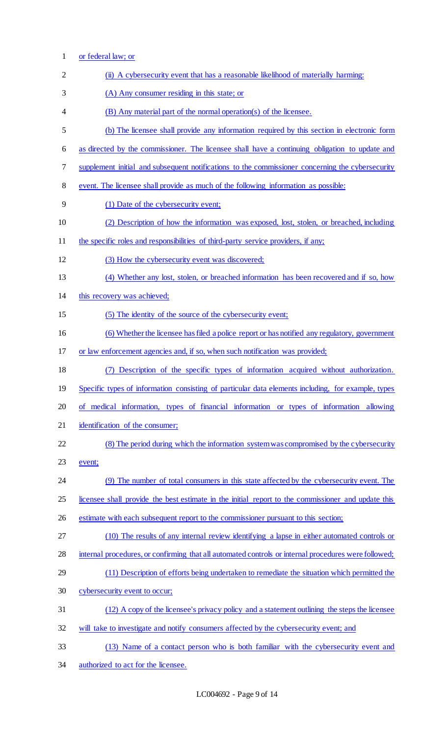or federal law; or 2 (ii) A cybersecurity event that has a reasonable likelihood of materially harming: (A) Any consumer residing in this state; or (B) Any material part of the normal operation(s) of the licensee. (b) The licensee shall provide any information required by this section in electronic form as directed by the commissioner. The licensee shall have a continuing obligation to update and supplement initial and subsequent notifications to the commissioner concerning the cybersecurity event. The licensee shall provide as much of the following information as possible: (1) Date of the cybersecurity event; (2) Description of how the information was exposed, lost, stolen, or breached, including 11 the specific roles and responsibilities of third-party service providers, if any; (3) How the cybersecurity event was discovered; (4) Whether any lost, stolen, or breached information has been recovered and if so, how this recovery was achieved; (5) The identity of the source of the cybersecurity event; (6) Whether the licensee has filed a police report or has notified any regulatory, government or law enforcement agencies and, if so, when such notification was provided; (7) Description of the specific types of information acquired without authorization. Specific types of information consisting of particular data elements including, for example, types of medical information, types of financial information or types of information allowing identification of the consumer; (8) The period during which the information system was compromised by the cybersecurity event; (9) The number of total consumers in this state affected by the cybersecurity event. The licensee shall provide the best estimate in the initial report to the commissioner and update this estimate with each subsequent report to the commissioner pursuant to this section; (10) The results of any internal review identifying a lapse in either automated controls or 28 internal procedures, or confirming that all automated controls or internal procedures were followed; (11) Description of efforts being undertaken to remediate the situation which permitted the cybersecurity event to occur; (12) A copy of the licensee's privacy policy and a statement outlining the steps the licensee will take to investigate and notify consumers affected by the cybersecurity event; and (13) Name of a contact person who is both familiar with the cybersecurity event and authorized to act for the licensee.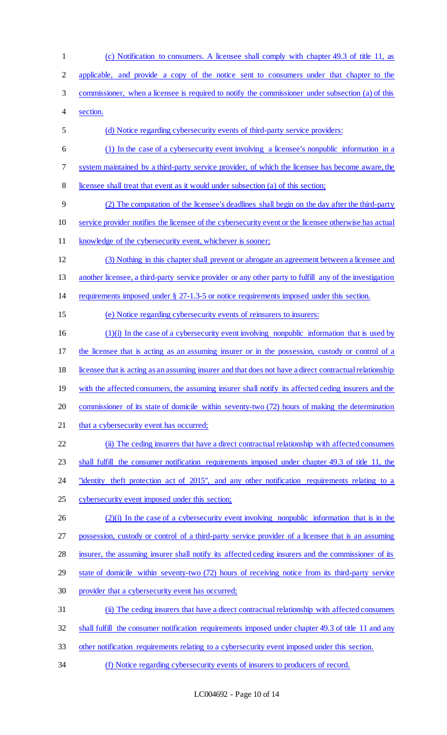(c) Notification to consumers. A licensee shall comply with chapter 49.3 of title 11, as applicable, and provide a copy of the notice sent to consumers under that chapter to the commissioner, when a licensee is required to notify the commissioner under subsection (a) of this section. (d) Notice regarding cybersecurity events of third-party service providers: (1) In the case of a cybersecurity event involving a licensee's nonpublic information in a system maintained by a third-party service provider, of which the licensee has become aware, the licensee shall treat that event as it would under subsection (a) of this section; (2) The computation of the licensee's deadlines shall begin on the day after the third-party service provider notifies the licensee of the cybersecurity event or the licensee otherwise has actual knowledge of the cybersecurity event, whichever is sooner; (3) Nothing in this chapter shall prevent or abrogate an agreement between a licensee and 13 another licensee, a third-party service provider or any other party to fulfill any of the investigation requirements imposed under § 27-1.3-5 or notice requirements imposed under this section. (e) Notice regarding cybersecurity events of reinsurers to insurers: (1)(i) In the case of a cybersecurity event involving nonpublic information that is used by 17 the licensee that is acting as an assuming insurer or in the possession, custody or control of a licensee that is acting as an assuming insurer and that does not have a direct contractual relationship 19 with the affected consumers, the assuming insurer shall notify its affected ceding insurers and the commissioner of its state of domicile within seventy-two (72) hours of making the determination 21 that a cybersecurity event has occurred; (ii) The ceding insurers that have a direct contractual relationship with affected consumers 23 shall fulfill the consumer notification requirements imposed under chapter 49.3 of title 11, the 24 "identity theft protection act of 2015", and any other notification requirements relating to a cybersecurity event imposed under this section; 26 (2)(i) In the case of a cybersecurity event involving nonpublic information that is in the possession, custody or control of a third-party service provider of a licensee that is an assuming insurer, the assuming insurer shall notify its affected ceding insurers and the commissioner of its state of domicile within seventy-two (72) hours of receiving notice from its third-party service provider that a cybersecurity event has occurred; (ii) The ceding insurers that have a direct contractual relationship with affected consumers shall fulfill the consumer notification requirements imposed under chapter 49.3 of title 11 and any other notification requirements relating to a cybersecurity event imposed under this section. (f) Notice regarding cybersecurity events of insurers to producers of record.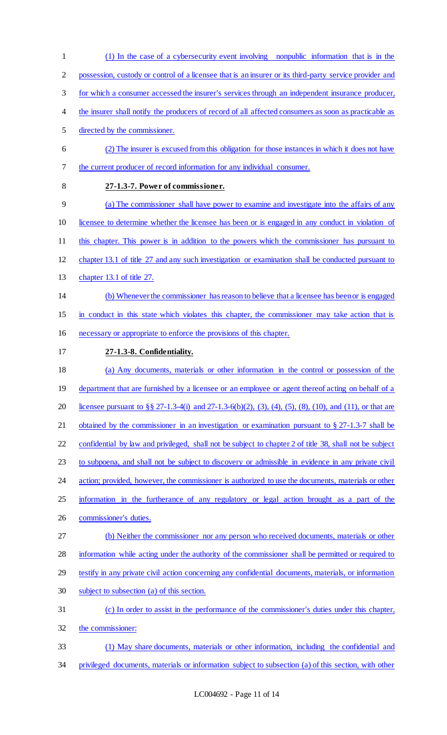possession, custody or control of a licensee that is an insurer or its third-party service provider and for which a consumer accessed the insurer's services through an independent insurance producer, the insurer shall notify the producers of record of all affected consumers as soon as practicable as directed by the commissioner. (2) The insurer is excused from this obligation for those instances in which it does not have the current producer of record information for any individual consumer. **27-1.3-7. Power of commissioner.**  (a) The commissioner shall have power to examine and investigate into the affairs of any licensee to determine whether the licensee has been or is engaged in any conduct in violation of this chapter. This power is in addition to the powers which the commissioner has pursuant to chapter 13.1 of title 27 and any such investigation or examination shall be conducted pursuant to chapter 13.1 of title 27. (b) Whenever the commissioner has reason to believe that a licensee has been or is engaged in conduct in this state which violates this chapter, the commissioner may take action that is necessary or appropriate to enforce the provisions of this chapter. **27-1.3-8. Confidentiality.**  (a) Any documents, materials or other information in the control or possession of the 19 department that are furnished by a licensee or an employee or agent thereof acting on behalf of a licensee pursuant to §§ 27-1.3-4(i) and 27-1.3-6(b)(2), (3), (4), (5), (8), (10), and (11), or that are 21 obtained by the commissioner in an investigation or examination pursuant to § 27-1.3-7 shall be confidential by law and privileged, shall not be subject to chapter 2 of title 38, shall not be subject to subpoena, and shall not be subject to discovery or admissible in evidence in any private civil 24 action; provided, however, the commissioner is authorized to use the documents, materials or other information in the furtherance of any regulatory or legal action brought as a part of the commissioner's duties. (b) Neither the commissioner nor any person who received documents, materials or other information while acting under the authority of the commissioner shall be permitted or required to testify in any private civil action concerning any confidential documents, materials, or information subject to subsection (a) of this section. (c) In order to assist in the performance of the commissioner's duties under this chapter, the commissioner: (1) May share documents, materials or other information, including the confidential and privileged documents, materials or information subject to subsection (a) of this section, with other

(1) In the case of a cybersecurity event involving nonpublic information that is in the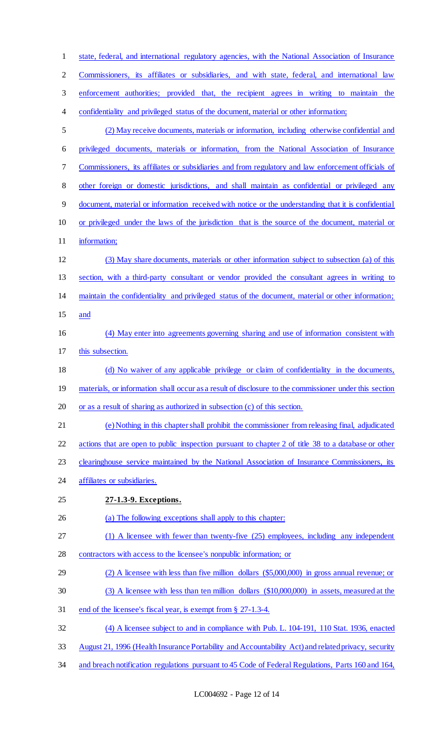| $\mathbf{1}$   | state, federal, and international regulatory agencies, with the National Association of Insurance      |
|----------------|--------------------------------------------------------------------------------------------------------|
| $\overline{2}$ | Commissioners, its affiliates or subsidiaries, and with state, federal, and international law          |
| 3              | enforcement authorities; provided that, the recipient agrees in writing to maintain the                |
| 4              | confidentiality and privileged status of the document, material or other information;                  |
| 5              | (2) May receive documents, materials or information, including otherwise confidential and              |
| 6              | privileged documents, materials or information, from the National Association of Insurance             |
| 7              | Commissioners, its affiliates or subsidiaries and from regulatory and law enforcement officials of     |
| 8              | other foreign or domestic jurisdictions, and shall maintain as confidential or privileged any          |
| $\overline{9}$ | document, material or information received with notice or the understanding that it is confidential    |
| 10             | or privileged under the laws of the jurisdiction that is the source of the document, material or       |
| 11             | information;                                                                                           |
| 12             | (3) May share documents, materials or other information subject to subsection (a) of this              |
| 13             | section, with a third-party consultant or vendor provided the consultant agrees in writing to          |
| 14             | maintain the confidentiality and privileged status of the document, material or other information;     |
| 15             | and                                                                                                    |
| 16             | (4) May enter into agreements governing sharing and use of information consistent with                 |
| 17             | this subsection.                                                                                       |
| 18             | (d) No waiver of any applicable privilege or claim of confidentiality in the documents,                |
| 19             | materials, or information shall occur as a result of disclosure to the commissioner under this section |
| 20             | or as a result of sharing as authorized in subsection (c) of this section.                             |
| 21             | (e) Nothing in this chapter shall prohibit the commissioner from releasing final, adjudicated          |
| 22             | actions that are open to public inspection pursuant to chapter 2 of title 38 to a database or other    |
| 23             | clearinghouse service maintained by the National Association of Insurance Commissioners, its           |
| 24             | affiliates or subsidiaries.                                                                            |
| 25             | 27-1.3-9. Exceptions.                                                                                  |
| 26             | (a) The following exceptions shall apply to this chapter:                                              |
| 27             | (1) A licensee with fewer than twenty-five (25) employees, including any independent                   |
| 28             | contractors with access to the licensee's nonpublic information; or                                    |
| 29             | $(2)$ A licensee with less than five million dollars $(\$5,000,000)$ in gross annual revenue; or       |
| 30             | (3) A licensee with less than ten million dollars (\$10,000,000) in assets, measured at the            |
| 31             | end of the licensee's fiscal year, is exempt from § 27-1.3-4.                                          |
| 32             | (4) A licensee subject to and in compliance with Pub. L. 104-191, 110 Stat. 1936, enacted              |
| 33             | August 21, 1996 (Health Insurance Portability and Accountability Act) and related privacy, security    |
| 34             | and breach notification regulations pursuant to 45 Code of Federal Regulations, Parts 160 and 164,     |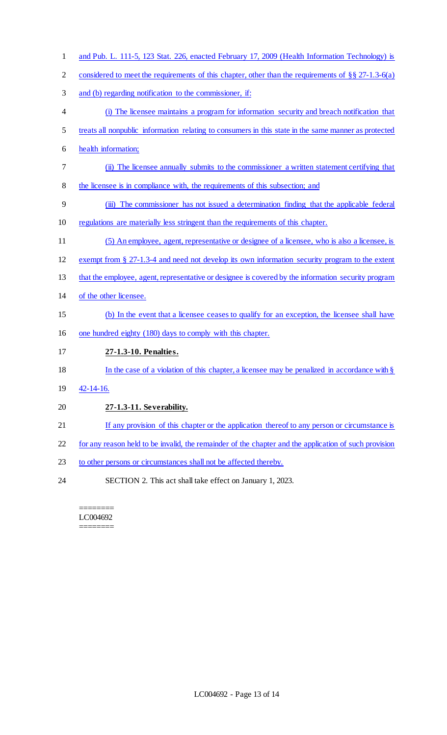- and Pub. L. 111-5, 123 Stat. 226, enacted February 17, 2009 (Health Information Technology) is 2 considered to meet the requirements of this chapter, other than the requirements of §§ 27-1.3-6(a) and (b) regarding notification to the commissioner, if: (i) The licensee maintains a program for information security and breach notification that treats all nonpublic information relating to consumers in this state in the same manner as protected health information; (ii) The licensee annually submits to the commissioner a written statement certifying that the licensee is in compliance with, the requirements of this subsection; and (iii) The commissioner has not issued a determination finding that the applicable federal regulations are materially less stringent than the requirements of this chapter. (5) An employee, agent, representative or designee of a licensee, who is also a licensee, is exempt from § 27-1.3-4 and need not develop its own information security program to the extent that the employee, agent, representative or designee is covered by the information security program of the other licensee. (b) In the event that a licensee ceases to qualify for an exception, the licensee shall have one hundred eighty (180) days to comply with this chapter. **27-1.3-10. Penalties.**  18 In the case of a violation of this chapter, a licensee may be penalized in accordance with § 42-14-16. **27-1.3-11. Severability.**  21 If any provision of this chapter or the application thereof to any person or circumstance is for any reason held to be invalid, the remainder of the chapter and the application of such provision 23 to other persons or circumstances shall not be affected thereby.
	- ========

SECTION 2. This act shall take effect on January 1, 2023.

LC004692 ========